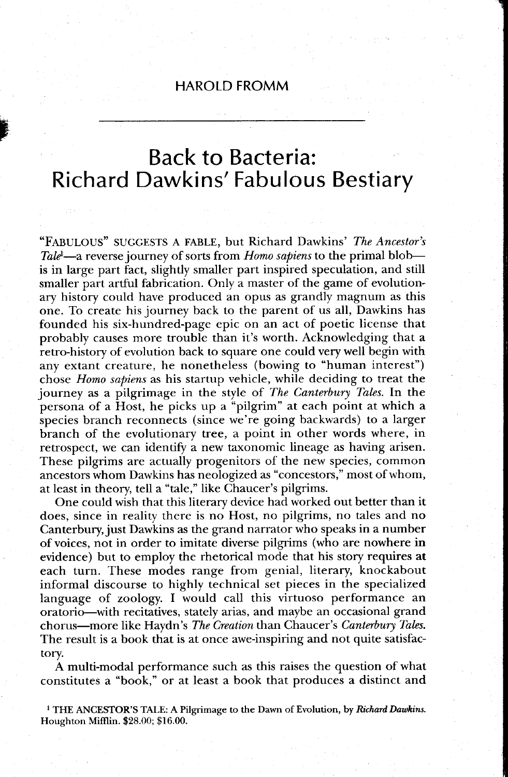## HAROLD FROMM

## Back to Bacteria: Richard Dawkins' Fabulous Bestiary

F

"FABULOUS" SUGGESTS A FABLE, but Richard Dawkins' The Ancestor's Tale<sup>1</sup>-a reverse journey of sorts from Homo sapiens to the primal blobis in large part fact, slightly smaller part inspired speculation, and still smaller part artful fabrication. Only a master of the game of evolutionary history could have produced an opus as grandly magnum as this one. To create his journey back to the parent of us all, Dawkins has founded his six-hundred-page epic on an act of poetic license that probably causes more trouble than it's worth. Acknowledging that a retro-history of evolution back to square one could very well begin with any extant creature, he nonetheless (bowing to "human interest") chose Homo sapiens as his startup vehicle, while deciding to treat the journey as a pilgrimage in the style of The Canterbury Tales. In the persona of a Host, he picks up a "pilgrim" at each point at which a species branch reconnects (since we're going backwards) to a larger branch of the evolutionary tree, a point in other words where, in retrospect, we can identify a new taxonomic lineage as having arisen. These pilgrims are actually progenitors of the new species, common ancestors whom Dawkins has neologized as "concestors," most of whom, at least in theory tell a "tale," like Chaucer's pilgrims.

One could wish that this literary device had worked out better than it does, since in reality there is no Host, no pilgrims, no tales and no Canterbury, just Dawkins as the grand narrator who speaks in a number of voices, not in order to imitate diverse pilgrims (who are nowhere in evidence) but to employ the rhetorical mode that his story requires at each turn. These modes range from genial, literary, knockabout informal discourse to highly technical set pieces in the specialized language of zoology. I would call this virtuoso performance an oratorio-with recitatives, stately arias, and maybe an occasional grand chorus-more like Haydn's The Creation than Chaucer's Canterbury Tales. The result is a book that is at once awe-inspiring and not quite satisfactory.

A multi-modal performance such as this raises the question of what constitutes a "book," or at least a book that produces a distinct and

<sup>1</sup> THE ANCESTOR'S TALE: A Pilgrimage to the Dawn of Evolution, by Richard Dawkins. Houghton Mifflin. \$28.00; \$16.00.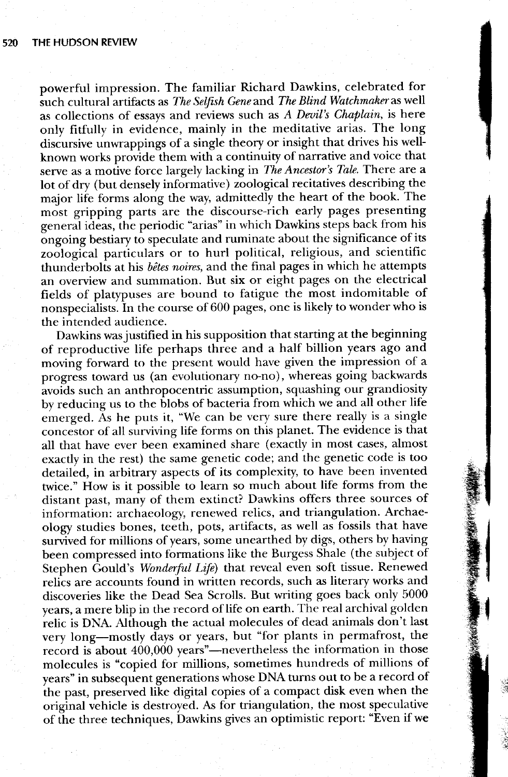powerful impression. The familiar Richard Dawkins, celebrated for such cultural artifacts as The Selfish Gene and The Blind Watchmaker as well as collections of essays and reviews such as A Devil's Chaplain, is here only fitfully in evidence, mainly in the meditative arias. The long discursive unwrappings of a single theory or insight that drives his wellknown works provide them with a continuity of narrative and voice that serve as a motive force largely lacking in The Ancestor's Tale. There are a lot of dry (but densely informative) zoological recitatives describing the major life forms along the way, admittedly the heart of the book. The most gripping parts are the discourse-rich early pages presenting general ideas, the periodic "arias" in which Dawkins steps back from his ongoing bestiary to speculate and ruminate about the significance of is zoological particulars or to hurl political, religious, and scientific thunderbolts at his bêtes noires, and the final pages in which he attempts an overview and summation. But six or eight pages on the electrical fields of platypuses are bound to fatigue the most indomitable of nonspecialists. In the course of 600 pages, one is likely to wonder who is the intended audience.

Dawkins wasjustified in his supposition that starting at the beginning of reproductive life perhaps three and a half billion years ago and moving forward to the present would have given the impression of a progress toward us (an evolutionary no-no), whereas going backwards avoids such an anthropocentric assumption, squashing our grandiosity by reducing us to the blobs of bacteria from which we and all other life emerged. As he puts it, "We can be very sure there really is a single concestor of all surviving life forms on this planet. The evidence is that all that have ever been examined share (exactly in most cases, almost exactly in the rest) the same genetic code; and the genetic code is too detailed, in arbitrary aspects of its complexity, to have been invented twice." How is it possible to learn so much about life forms from the distant past, many of them extinct? Dawkins offers three sources of information: archaeology, renewed relics, and triangulation. Archaeology studies bones, teeth, pots, artifacts, as well as fossils that have survived for millions of years, some unearthed by digs, others by having been compressed into formations like the Burgess Shale (the subject of Stephen Gould's Wonderful Life) that reveal even soft tissue. Renewed relics are accounts found in written records, such as literary works and discoveries like the Dead Sea Scrolls. But writing goes back only 5000 years, a mere blip in the record of life on earth. The real archival golden relic is DNA. Although the actual molecules of dead animals don't last very long-mostly days or years, but "for plants in permafrost, the record is about 400,000 years"—nevertheless the information in those molecules is "copied for millions, sometimes hundreds of millions of years" in subsequent generations whose DNA turns out to be a record of the past, preserued like digital copies of a compact disk even when the original vehicle is destroyed. As for triangulation, the most speculative of the three techniques, Dawkins gives an optimistic report: "Even if we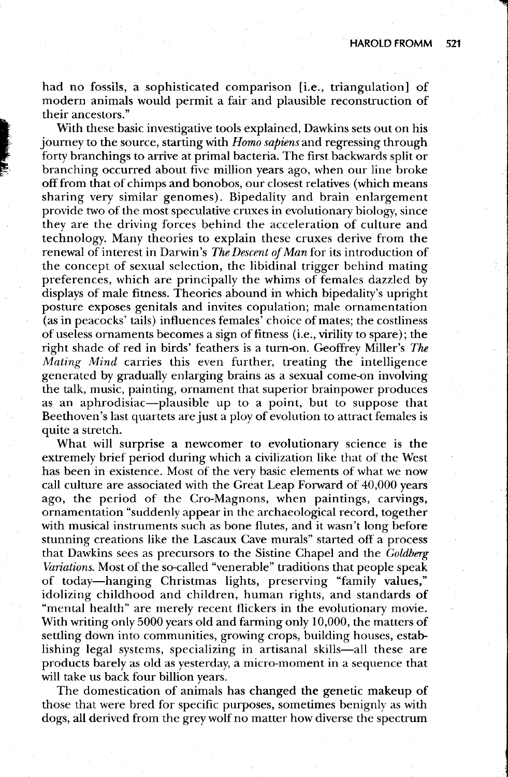had no fossils, a sophisticated comparison [i.e., triangulation] of modern animals would permit a fair and plausible reconstruction of their ancestors."

**Francisco**<br>Francisco<br>Francisco

k

With these basic investigative tools explained, Dawkins sets out on his journey to the source, starting with *Homo sapiens* and regressing through forry branchings to arrive at primal bacteria. The first backwards split or branching occurred about five million years ago, when our line broke off from that of chimps and bonobos, our closest relatives (which means sharing very similar genomes). Bipedality and brain enlargement provide two of the most speculative cruxes in evolutionary biology, since they are the driving forces behind the acceleration of culture and technology. Many theories to explain these cruxes derive from the renewal of interest in Darwin's The Descent of Man for its introduction of the concept of sexual selection, the libidinal trigger behind mating preferences, which are principally the whims of females dazzled by displays of male fitness. Theories abound in which bipedality's upright posture exposes genitals and invites copulation; male ornamentation (as in peacocks' tails) influences females' choice of mates; the costliness of useless ornaments becomes a sign of fitness (i.e., virility to spare); the right shade of red in birds' feathers is a turn-on. Geoffrey Miller's The Mating Mind carries this even further, treating the intelligence generated by gradually enlarging brains as a sexual come-on involving the talk, music, painting, ornament that superior brainpower produces as an aphrodisiac-plausible up to a point, but to suppose that Beethoven's last quartets are just a ploy of evolution to attract females is quite a stretch.

What will surprise a newcomer to evolutionary science is the extremely brief period during which a civilization like that of the West has been in existence. Most of the very basic elements of what we now call culture are associated with the Great Leap Forward of 40,000 years ago, the period of the Cro-Magnons, when paintings, carvings, ornamentation "suddenly appear in the archaeological record, together with musical instruments such as bone flutes, and it wasn't long before stunning creations like the Lascaux Cave murals" started off a process that Dawkins sees as precursors to the Sistine Chapel and the Goldberg Variations. Most of the so-called "venerable" traditions that people speak of today-hanging Christmas lights, preserving "family values," idolizing childhood and children, human rights, and standards of "mental health" are merely recent flickers in the evolutionary movie. With writing only 5000 years old and farming only 10,000, the matters of settling down into communities, growing crops, building houses, establishing legal systems, specializing in artisanal skills-all these are products barely as old as yesterday, a micro-moment in a sequence that will take us back four billion years.

The domestication of animals has changed the genetic makeup of those that were bred for specific purposes, sometimes benignly as with dogs, all derived from the grey wolf no matter how diverse the spectrum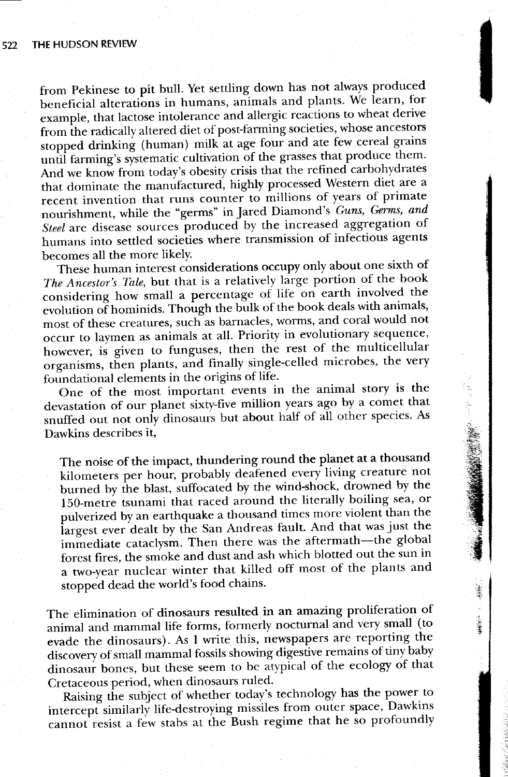from Pekinese to pit bull. Yet settling down has not always produced beneficial alterations in humans, animals and plants. We learn, for example, that lactose intolerance and allergic reactions to wheat derive from ihe radically altered diet of post-farming societies, whose ancestors stopped drinking (human) milk at age four and ate few cereal grains until farming's systematic cultivation of the grasses that produce them. And we know from today's obesity crisis that the refined carbohydrates that dominate the manufactured, highly processed western diet are a recent invention that runs counter to millions of years of primate nourishment, while the "germs" in Jared Diamond's Guns, Germs, and Steel are disease sources produced by the increased aggregation of humans into settled societies where transmission of infectious agents becomes all the more likelY.

These human interest considerations occupy only about one sixth of The Ancestor's Tale, but that is a relatively large portion of the book considering how small a percentage of life on earth involved the evolution of hominids. Though the bulk of the book deals with animals, most of these creatures, such as barnacles, worms, and coral would not occur to laymen as animals at all. Priority in evolutionary sequence, however, is given to funguses, then the rest of the multicellular organisms, then plants, and finally single-celled microbes, the very foundational elements in the origins of life.

One of the most importani events in the animal story is the devastation of our planet sixty-five million years ago by a comet that snuffed out not oniy dinosaurs but about half of all other species. As Dawkins describes it,

The noise of the impact, thundering round the planet at a thousand kilometers per hour, probably deafened every living creature not burned by the blast, suffocated by the wind-shock, drowned by the 15o-metre tsunami that raced around the literally boiling sea, or pulverized by an earthquake a thousand times more violent than the largest ever dealt by the San Andreas fault. And that was just the immediate cataclysm. Then there was the aftermath-the global forest fires, the smoke and dust and ash which blotted out the sun in a two-year nuclear winter that killed off most of the plants and stopped dead the world's food chains.

The elimination of dinosaurs resulted in an amazing proliferation of animal and mammal life forms, formerly nocturnal and very small (to evade the dinosaurs). As I write this, newspapers are reporting the discovery of small mammal fossils showing digestive remains of tiny baby dinosaur bones, but these seem to be atypical of the ecology of that Cretaceous period, when dinosaurs ruled'

**HARRY IN THE PARTIES** 

l

Raising the subject of whether today's technology has the power to intercept similarly life-destroying missiles from outer space, Dawkins cannot resist a few stabs at the Bush regime that he so profoundly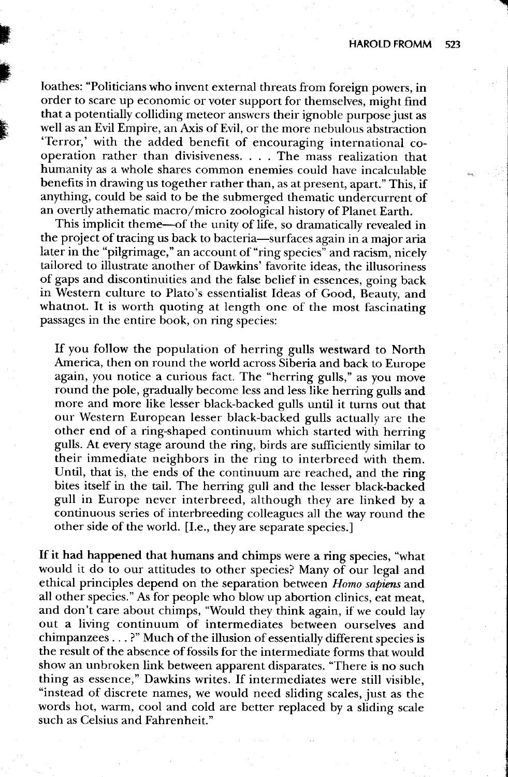1

loathes: "Politicians who invent external threats from foreign powers, in order to scare up economic or voter support for themselves, might find that a potentially colliding meteor answers their ignoble purpose just as well as an Evil Empire, an Axis of Evil, or the more nebulous abstraction 'Terror,' with the added benefit of encouraging international cooperation rather than divisiveness. . . . The mass realization that humanity as a whole shares common enemies could have incalculable benefits in drawing us together rather than, as at present, apart." This, if anything, could be said to be the submerged thematic undercurrent of an overtly athematic macro/micro zoological history of Planet Earth.

F

F

F

This implicit theme—of the unity of life, so dramatically revealed in the project of tracing us back to bacteria-surfaces again in a major aria later in the "pilgrimage," an account of "ring species" and racism, nicely tailored to illustrate another of Dawkins' favorite ideas, the illusoriness of gaps and discontinuities and the false belief in essences, going back in Western culture to Plato's essentialist Ideas of Good, Beauty, and whatnot. It is worth quoting at length one of the most fascinating passages in the entire book, on ring species:

If you follow the population of herring gulls westward to North America, then on round the world across Siberia and back to Europe again, you notice a curious fact. The "herring gulls," as you move round the pole, gradually become less and less like herring gulls and more and more like lesser black-backed gulls until it turns out that our Western European lesser black-backed gulls actually are the other end of a ring-shaped continuum which started with herring gulls. At every stage around the ring, birds are sufficiently similar to their immediate neighbors in the ring to interbreed with them. Until, that is, the ends of the continuum are reached, and the ring bites itself in the tail. The herring gull and the lesser black-backed gull in Europe never interbreed, although they are linked by a continuous series of interbreeding colleagues all the way round the other side of the world. [I.e., they are separate species.]

If it had happened that humans and chimps were a ring species, "whar would it do to our attitudes to other species? Many of our legal and ethical principles depend on the separation between Homo sapiens and all other species." As for people who blow up abortion clinics, eat meat, and don't care about chimps, "Would they think again, if we could lay out a living continuum of intermediates between ourselves and chimpanzees . . . ?" Much of the illusion of essentially different species is the result of the absence of fossils for the intermediate forms that would show an unbroken link between apparent disparates. "There is no such "instead of discrete names, we would need sliding scales, just as the words hot, warm, cool and cold are better replaced by a sliding scale such as Celsius and Fahrenheit."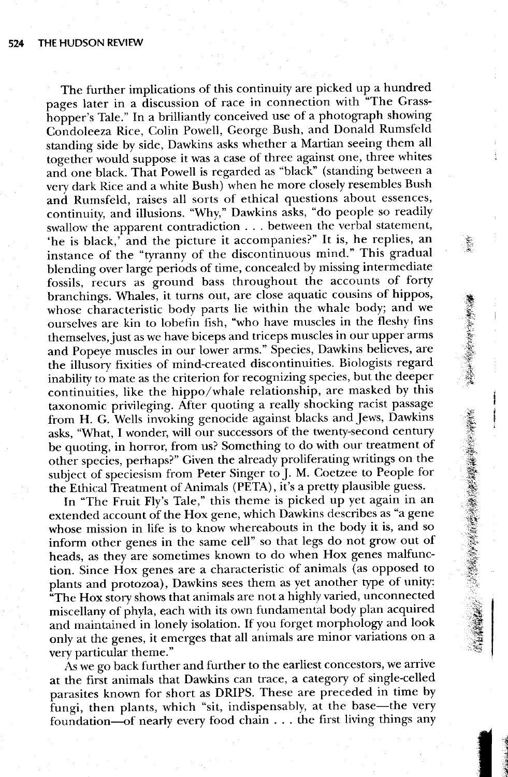The further implications of this continuity are picked up a hundred pages later in a discussion of race in connection with "The Grasshopper's Tale." In a brilliantly conceived use of a photograph showing Condoleeza Rice, Colin Powell, George Bush, and Donald Rumsfeld standing side by side, Dawkins asks whether a Martian seeing them all together would suppose it was a case of three against one, three whites and one black. That Powell is regarded as "black" (standing between a very dark Rice and a white Bush) when he more closely resembles Rush and Rumsfeld, raises all sorts of ethical questions about essences, continuity, and illusions. "Why," Dawkins asks, "do people so readily swallow the apparent contradiction . . . between the verbal statement, 'he is black,' and the picture it accompanies?" It is, he replies, an instance of the "tyranny of the discontinuous mind." This gradual blending over large periods of time, concealed by missing intermediate fossils, recurs as ground bass throughout the accounts of forty branchings. Whales, it turns out, are close aquatic cousins of hippos, whose characteristic body parts lie within the whale body; and we ourselves are kin to lobefin fish, "who have muscles in the fleshy fins themselves, just as we have biceps and triceps muscles in our upper arms and Popeye muscles in our lower arms." Species, Dawkins believes, are the illuiory fixities of mind-created discontinuities. Biologists regard inability to mate as the criterion for recognizing species, but the deeper continuities, like the hippo/whale relationship, are masked by this taxonomic privileging. After quoting a really shocking racist passage from H. G. Wells invoking genocide against blacks and Jews, Dawkins asks, "What, I wonder, will our successors of the twenty-second century be quoting, in horror, from us? Something to do with our treatment of other species, perhaps?" Given the already proliferating writings on the subject of speciesism from Peter Singer to J. M. Coetzee to People for the Ethical Treatment of Animals (PETA), it's a pretty plausible guess.

::,

\$.!:  $\bullet$ 

:i:1 :'+fl -\* n+j

st ::.,4i rl::: +

 $\mathbf{r}$ :sf € .s; r\$:

 $\ddot{\varepsilon}$ i!s 1-l-! :;.1

J{i s '1,,\* :{s :  $\mathcal{R}_{\mathcal{R}}$ 

:<br>light de la company de la company de la company de la company de la company de la company de la company de la<br>light de la company de la company de la company de la company de la company de la company de la company de la

In "The Fruit Fly's Tale," this theme is picked up yet again in an extended account of the Hox gene, which Dawkins describes as "a gene whose mission in life is to know whereabouts in the body it is, and so inform other genes in the same cell" so that legs do not grow out of heads, as they are sometimes known to do when Hox genes malfunction. Since Hox genes are a characteristic of animals (as opposed to plants and protozoa), Dawkins sees them as yet another type of unity:  $\mathrm{^aThe\,Hox}$  story shows that animals are not a highly varied, unconnected miscellany of phyla, each with its own fundamental body plan acquired and maintained in lonely isolation. If you forget morphology and look only at the genes, it emerges that all animals are minor variations on a very particular theme."

As we go back further and further to the earliest concestors, we arrive at the first animals that Dawkins can trace, a category of single-celled parasites known for short as DRIPS. These are preceded in time by fungi, then plants, which "sit, indispensably, at the base—the very foundation-of nearly every food chain . . . the first living things any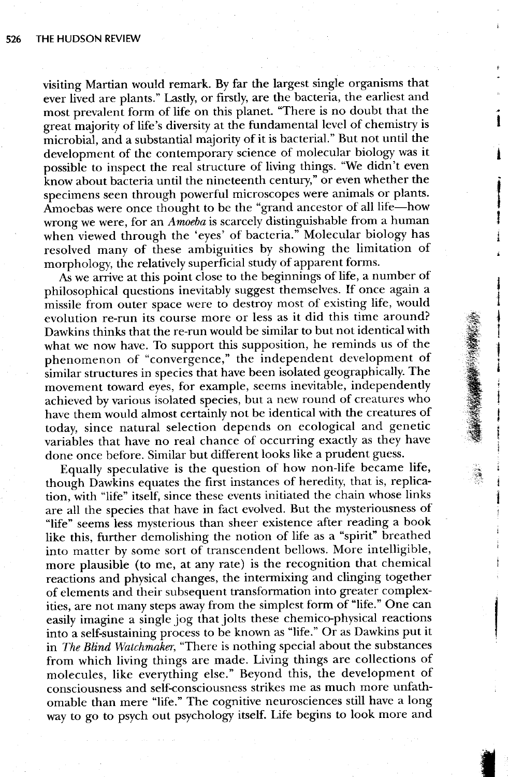visiting Martian would remark. By far the largest single organisms that ever lived are plants." Lastly, or firstly, are the bacteria, the earliest and most prevalent form of life on this planet. "There is no doubt that the great majority of life's diversity at the fundamental level of chemistry is microbial, and a substantial majority of it is bacterial'" But not until the development of the contemporary science of molecular biology was it possible to inspect the real structure of living things. "We didn't even know about bacteria until the nineteenth century" or even whether the specimens seen through powerful microscopes were animals or plants. Amoebas were once thought to be the "grand ancestor of all life-how wrong we were, for an Amoeba is scarcely distinguishable from a human when viewed through the 'eyes' of bacteria." Molecular biology has resolved many of these ambiguities by showing the limitation of morphology, the relatively superficial study of apparent forms.

As we arrive at this point close to the beginnings of life, a number of philosophical questions inevitably suggest themselves. If once again a missile from outer space were to destroy most of existing life, would evolution re-run its course more or less as it did this time around? Dawkins thinks that the re-run would be similar to but not identical with what we now have. To support this supposition, he reminds us of the phenomenon of "convergence," the independent development of similar structures in species that have been isolated geographically. The movement toward eyes, for example, seems inevitable, independently achieved by various isolated species, but a new round of creatures who have them would almost certainly not be identical with the creatures of today, since natural selection depends on ecological and genetic variables that have no real chance of occurring exactly as they have done once before. Similar but different looks like a prudent guess.

 $\mathbb{R}^+$ 

il

Equally speculative is the question of how non-life became life, though Dawkins equates the first instances of heredity, that is, replication, with "life" itself, since these events initiated the chain whose links are all the species that have in fact evolved. But the mysteriousness of "life" seems less mysterious than sheer existence after reading a book like this, further demolishing the notion of life as a "spirit" breathed into matter by some sort of transcendent bellows. More intelligible, more plausible (to me, at any rate) is the recognition that chemical reactions and physical changes, the intermixing and clinging together of elements and their subsequent transformation into greater complexities, are not many steps away from the simplest form of "life." One can easily imagine a single jog that jolts these chemico-physical reactions into a self-sustaining process to be known as "life." Or as Dawkins put it in The Blind Watchmaker, "There is nothing special about the substances from which living things are made. Living things are collections of molecules, like everything else." Beyond this, the development of consciousness and self-consciousness strikes me as much more unfathomable than mere "life." The cognitive neurosciences still have a long way to go to psych out psychology itself. Life begins to look more and